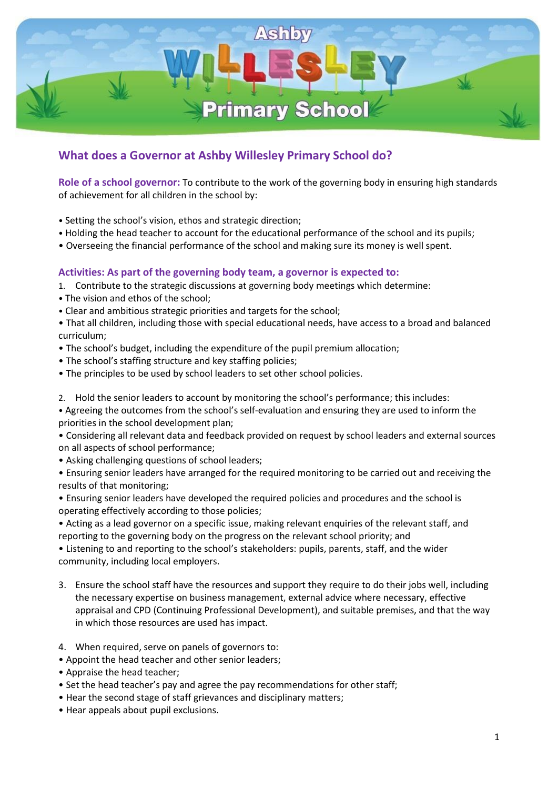

## **What does a Governor at Ashby Willesley Primary School do?**

**Role of a school governor:** To contribute to the work of the governing body in ensuring high standards of achievement for all children in the school by:

- Setting the school's vision, ethos and strategic direction;
- Holding the head teacher to account for the educational performance of the school and its pupils;
- Overseeing the financial performance of the school and making sure its money is well spent.

## **Activities: As part of the governing body team, a governor is expected to:**

- 1. Contribute to the strategic discussions at governing body meetings which determine:
- The vision and ethos of the school;
- Clear and ambitious strategic priorities and targets for the school;

• That all children, including those with special educational needs, have access to a broad and balanced curriculum;

- The school's budget, including the expenditure of the pupil premium allocation;
- The school's staffing structure and key staffing policies;
- The principles to be used by school leaders to set other school policies.
- 2. Hold the senior leaders to account by monitoring the school's performance; this includes:

• Agreeing the outcomes from the school's self-evaluation and ensuring they are used to inform the priorities in the school development plan;

• Considering all relevant data and feedback provided on request by school leaders and external sources on all aspects of school performance;

• Asking challenging questions of school leaders;

• Ensuring senior leaders have arranged for the required monitoring to be carried out and receiving the results of that monitoring;

• Ensuring senior leaders have developed the required policies and procedures and the school is operating effectively according to those policies;

• Acting as a lead governor on a specific issue, making relevant enquiries of the relevant staff, and reporting to the governing body on the progress on the relevant school priority; and

• Listening to and reporting to the school's stakeholders: pupils, parents, staff, and the wider community, including local employers.

- 3. Ensure the school staff have the resources and support they require to do their jobs well, including the necessary expertise on business management, external advice where necessary, effective appraisal and CPD (Continuing Professional Development), and suitable premises, and that the way in which those resources are used has impact.
- 4. When required, serve on panels of governors to:
- Appoint the head teacher and other senior leaders;
- Appraise the head teacher;
- Set the head teacher's pay and agree the pay recommendations for other staff;
- Hear the second stage of staff grievances and disciplinary matters;
- Hear appeals about pupil exclusions.